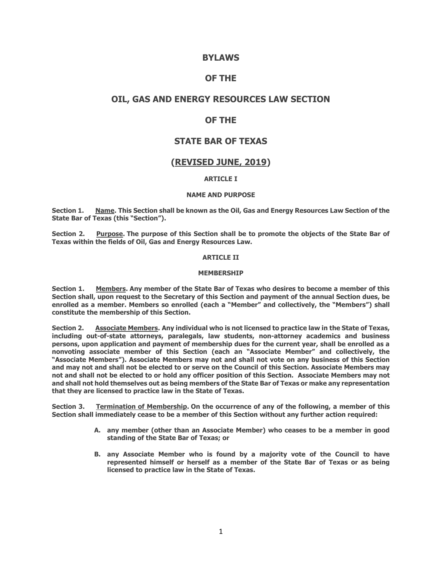### **BYLAWS**

## **OF THE**

## **OIL, GAS AND ENERGY RESOURCES LAW SECTION**

# **OF THE**

# **STATE BAR OF TEXAS**

# **(REVISED JUNE, 2019)**

### **ARTICLE I**

#### **NAME AND PURPOSE**

**Section 1. Name. This Section shall be known as the Oil, Gas and Energy Resources Law Section of the State Bar of Texas (this "Section").**

**Section 2. Purpose. The purpose of this Section shall be to promote the objects of the State Bar of Texas within the fields of Oil, Gas and Energy Resources Law.**

#### **ARTICLE II**

#### **MEMBERSHIP**

**Section 1. Members. Any member of the State Bar of Texas who desires to become a member of this Section shall, upon request to the Secretary of this Section and payment of the annual Section dues, be enrolled as a member. Members so enrolled (each a "Member" and collectively, the "Members") shall constitute the membership of this Section.**

**Section 2. Associate Members. Any individual who is not licensed to practice law in the State of Texas, including out-of-state attorneys, paralegals, law students, non-attorney academics and business persons, upon application and payment of membership dues for the current year, shall be enrolled as a nonvoting associate member of this Section (each an "Associate Member" and collectively, the "Associate Members"). Associate Members may not and shall not vote on any business of this Section and may not and shall not be elected to or serve on the Council of this Section. Associate Members may not and shall not be elected to or hold any officer position of this Section. Associate Members may not and shall not hold themselves out as being members of the State Bar of Texas or make any representation that they are licensed to practice law in the State of Texas.**

**Section 3. Termination of Membership. On the occurrence of any of the following, a member of this Section shall immediately cease to be a member of this Section without any further action required:**

- **A. any member (other than an Associate Member) who ceases to be a member in good standing of the State Bar of Texas; or**
- **B. any Associate Member who is found by a majority vote of the Council to have represented himself or herself as a member of the State Bar of Texas or as being licensed to practice law in the State of Texas.**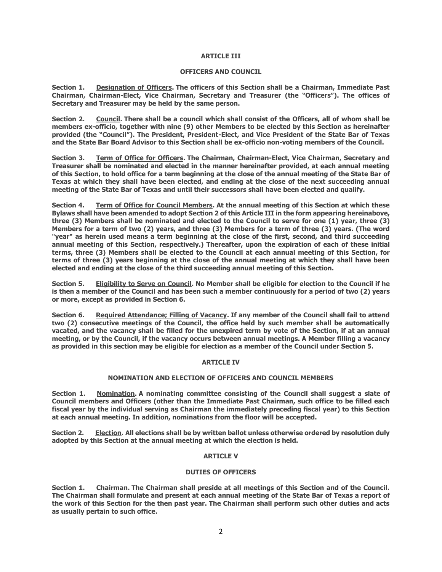#### **ARTICLE III**

#### **OFFICERS AND COUNCIL**

**Section 1. Designation of Officers. The officers of this Section shall be a Chairman, Immediate Past Chairman, Chairman-Elect, Vice Chairman, Secretary and Treasurer (the "Officers"). The offices of Secretary and Treasurer may be held by the same person.**

**Section 2. Council. There shall be a council which shall consist of the Officers, all of whom shall be members ex-officio, together with nine (9) other Members to be elected by this Section as hereinafter provided (the "Council"). The President, President-Elect, and Vice President of the State Bar of Texas and the State Bar Board Advisor to this Section shall be ex-officio non-voting members of the Council.**

**Section 3. Term of Office for Officers. The Chairman, Chairman-Elect, Vice Chairman, Secretary and Treasurer shall be nominated and elected in the manner hereinafter provided, at each annual meeting of this Section, to hold office for a term beginning at the close of the annual meeting of the State Bar of Texas at which they shall have been elected, and ending at the close of the next succeeding annual meeting of the State Bar of Texas and until their successors shall have been elected and qualify.**

**Section 4. Term of Office for Council Members. At the annual meeting of this Section at which these Bylaws shall have been amended to adopt Section 2 of this Article III in the form appearing hereinabove, three (3) Members shall be nominated and elected to the Council to serve for one (1) year, three (3) Members for a term of two (2) years, and three (3) Members for a term of three (3) years. (The word "year" as herein used means a term beginning at the close of the first, second, and third succeeding annual meeting of this Section, respectively.) Thereafter, upon the expiration of each of these initial terms, three (3) Members shall be elected to the Council at each annual meeting of this Section, for terms of three (3) years beginning at the close of the annual meeting at which they shall have been elected and ending at the close of the third succeeding annual meeting of this Section.**

**Section 5. Eligibility to Serve on Council. No Member shall be eligible for election to the Council if he is then a member of the Council and has been such a member continuously for a period of two (2) years or more, except as provided in Section 6.**

**Section 6. Required Attendance; Filling of Vacancy. If any member of the Council shall fail to attend two (2) consecutive meetings of the Council, the office held by such member shall be automatically vacated, and the vacancy shall be filled for the unexpired term by vote of the Section, if at an annual meeting, or by the Council, if the vacancy occurs between annual meetings. A Member filling a vacancy as provided in this section may be eligible for election as a member of the Council under Section 5.**

#### **ARTICLE IV**

#### **NOMINATION AND ELECTION OF OFFICERS AND COUNCIL MEMBERS**

**Section 1. Nomination. A nominating committee consisting of the Council shall suggest a slate of Council members and Officers (other than the Immediate Past Chairman, such office to be filled each fiscal year by the individual serving as Chairman the immediately preceding fiscal year) to this Section at each annual meeting. In addition, nominations from the floor will be accepted.**

**Section 2. Election. All elections shall be by written ballot unless otherwise ordered by resolution duly adopted by this Section at the annual meeting at which the election is held.** 

#### **ARTICLE V**

#### **DUTIES OF OFFICERS**

**Section 1. Chairman. The Chairman shall preside at all meetings of this Section and of the Council. The Chairman shall formulate and present at each annual meeting of the State Bar of Texas a report of the work of this Section for the then past year. The Chairman shall perform such other duties and acts as usually pertain to such office.**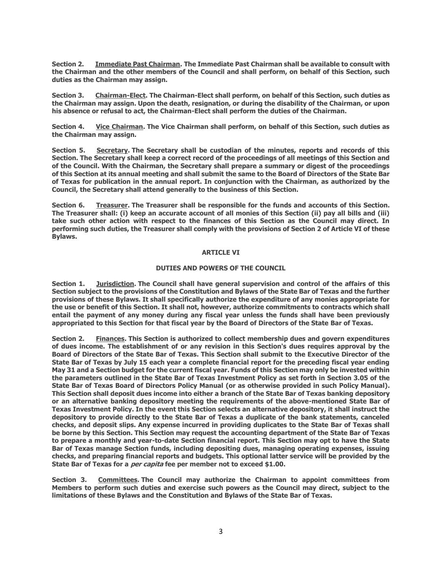**Section 2. Immediate Past Chairman. The Immediate Past Chairman shall be available to consult with the Chairman and the other members of the Council and shall perform, on behalf of this Section, such duties as the Chairman may assign.**

**Section 3. Chairman-Elect. The Chairman-Elect shall perform, on behalf of this Section, such duties as the Chairman may assign. Upon the death, resignation, or during the disability of the Chairman, or upon his absence or refusal to act, the Chairman-Elect shall perform the duties of the Chairman.**

**Section 4. Vice Chairman. The Vice Chairman shall perform, on behalf of this Section, such duties as the Chairman may assign.**

**Section 5. Secretary. The Secretary shall be custodian of the minutes, reports and records of this Section. The Secretary shall keep a correct record of the proceedings of all meetings of this Section and of the Council. With the Chairman, the Secretary shall prepare a summary or digest of the proceedings of this Section at its annual meeting and shall submit the same to the Board of Directors of the State Bar of Texas for publication in the annual report. In conjunction with the Chairman, as authorized by the Council, the Secretary shall attend generally to the business of this Section.**

**Section 6. Treasurer. The Treasurer shall be responsible for the funds and accounts of this Section. The Treasurer shall: (i) keep an accurate account of all monies of this Section (ii) pay all bills and (iii) take such other action with respect to the finances of this Section as the Council may direct. In performing such duties, the Treasurer shall comply with the provisions of Section 2 of Article VI of these Bylaws.** 

#### **ARTICLE VI**

#### **DUTIES AND POWERS OF THE COUNCIL**

**Section 1. Jurisdiction. The Council shall have general supervision and control of the affairs of this Section subject to the provisions of the Constitution and Bylaws of the State Bar of Texas and the further provisions of these Bylaws. It shall specifically authorize the expenditure of any monies appropriate for the use or benefit of this Section. It shall not, however, authorize commitments to contracts which shall entail the payment of any money during any fiscal year unless the funds shall have been previously appropriated to this Section for that fiscal year by the Board of Directors of the State Bar of Texas.**

**Section 2. Finances. This Section is authorized to collect membership dues and govern expenditures of dues income. The establishment of or any revision in this Section's dues requires approval by the Board of Directors of the State Bar of Texas. This Section shall submit to the Executive Director of the State Bar of Texas by July 15 each year a complete financial report for the preceding fiscal year ending May 31 and a Section budget for the current fiscal year. Funds of this Section may only be invested within the parameters outlined in the State Bar of Texas Investment Policy as set forth in Section 3.05 of the State Bar of Texas Board of Directors Policy Manual (or as otherwise provided in such Policy Manual). This Section shall deposit dues income into either a branch of the State Bar of Texas banking depository or an alternative banking depository meeting the requirements of the above-mentioned State Bar of Texas Investment Policy. In the event this Section selects an alternative depository, it shall instruct the depository to provide directly to the State Bar of Texas a duplicate of the bank statements, canceled checks, and deposit slips. Any expense incurred in providing duplicates to the State Bar of Texas shall be borne by this Section. This Section may request the accounting department of the State Bar of Texas to prepare a monthly and year-to-date Section financial report. This Section may opt to have the State Bar of Texas manage Section funds, including depositing dues, managing operating expenses, issuing checks, and preparing financial reports and budgets. This optional latter service will be provided by the State Bar of Texas for a per capita fee per member not to exceed \$1.00.**

**Section 3. Committees. The Council may authorize the Chairman to appoint committees from Members to perform such duties and exercise such powers as the Council may direct, subject to the limitations of these Bylaws and the Constitution and Bylaws of the State Bar of Texas.**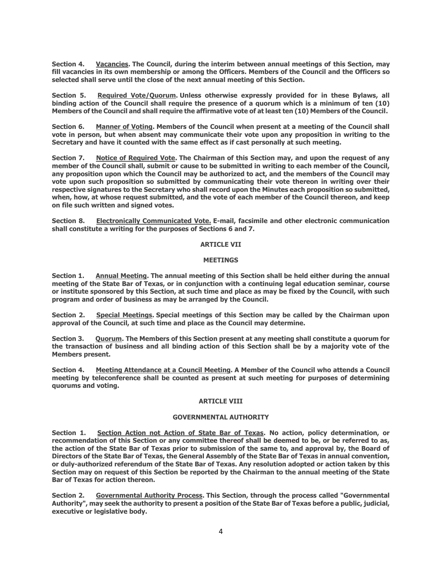**Section 4. Vacancies. The Council, during the interim between annual meetings of this Section, may fill vacancies in its own membership or among the Officers. Members of the Council and the Officers so selected shall serve until the close of the next annual meeting of this Section.**

**Section 5. Required Vote/Quorum. Unless otherwise expressly provided for in these Bylaws, all binding action of the Council shall require the presence of a quorum which is a minimum of ten (10) Members of the Council and shall require the affirmative vote of at least ten (10) Members of the Council.**

**Section 6. Manner of Voting. Members of the Council when present at a meeting of the Council shall vote in person, but when absent may communicate their vote upon any proposition in writing to the Secretary and have it counted with the same effect as if cast personally at such meeting.**

**Section 7. Notice of Required Vote. The Chairman of this Section may, and upon the request of any member of the Council shall, submit or cause to be submitted in writing to each member of the Council, any proposition upon which the Council may be authorized to act, and the members of the Council may vote upon such proposition so submitted by communicating their vote thereon in writing over their respective signatures to the Secretary who shall record upon the Minutes each proposition so submitted, when, how, at whose request submitted, and the vote of each member of the Council thereon, and keep on file such written and signed votes.**

**Section 8. Electronically Communicated Vote. E-mail, facsimile and other electronic communication shall constitute a writing for the purposes of Sections 6 and 7.** 

#### **ARTICLE VII**

#### **MEETINGS**

**Section 1. Annual Meeting. The annual meeting of this Section shall be held either during the annual meeting of the State Bar of Texas, or in conjunction with a continuing legal education seminar, course or institute sponsored by this Section, at such time and place as may be fixed by the Council, with such program and order of business as may be arranged by the Council.**

**Section 2. Special Meetings. Special meetings of this Section may be called by the Chairman upon approval of the Council, at such time and place as the Council may determine.**

**Section 3. Quorum. The Members of this Section present at any meeting shall constitute a quorum for the transaction of business and all binding action of this Section shall be by a majority vote of the Members present.**

**Section 4. Meeting Attendance at a Council Meeting. A Member of the Council who attends a Council meeting by teleconference shall be counted as present at such meeting for purposes of determining quorums and voting.** 

#### **ARTICLE VIII**

#### **GOVERNMENTAL AUTHORITY**

**Section 1. Section Action not Action of State Bar of Texas. No action, policy determination, or recommendation of this Section or any committee thereof shall be deemed to be, or be referred to as, the action of the State Bar of Texas prior to submission of the same to, and approval by, the Board of Directors of the State Bar of Texas, the General Assembly of the State Bar of Texas in annual convention, or duly-authorized referendum of the State Bar of Texas. Any resolution adopted or action taken by this Section may on request of this Section be reported by the Chairman to the annual meeting of the State Bar of Texas for action thereon.**

**Section 2. Governmental Authority Process. This Section, through the process called "Governmental Authority", may seek the authority to present a position of the State Bar of Texas before a public, judicial, executive or legislative body.**